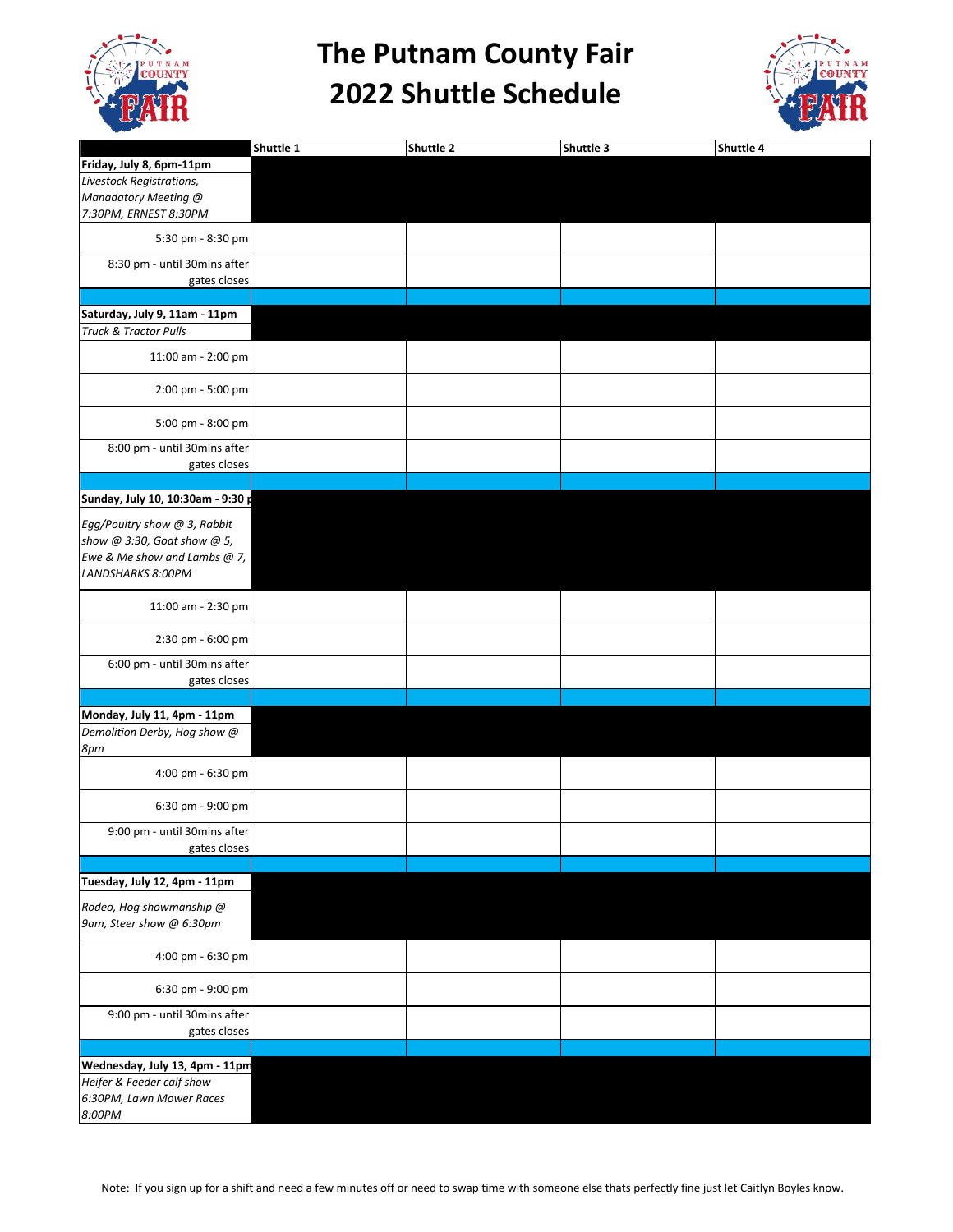

## **The Putnam County Fair 2022 Shuttle Schedule**



|                                              | Shuttle 1 | Shuttle 2 | Shuttle 3 | Shuttle 4 |
|----------------------------------------------|-----------|-----------|-----------|-----------|
| Friday, July 8, 6pm-11pm                     |           |           |           |           |
| Livestock Registrations,                     |           |           |           |           |
| Manadatory Meeting @                         |           |           |           |           |
| 7:30PM, ERNEST 8:30PM                        |           |           |           |           |
| 5:30 pm - 8:30 pm                            |           |           |           |           |
| 8:30 pm - until 30mins after                 |           |           |           |           |
| gates closes                                 |           |           |           |           |
| Saturday, July 9, 11am - 11pm                |           |           |           |           |
| <b>Truck &amp; Tractor Pulls</b>             |           |           |           |           |
| 11:00 am - 2:00 pm                           |           |           |           |           |
| 2:00 pm - 5:00 pm                            |           |           |           |           |
| 5:00 pm - 8:00 pm                            |           |           |           |           |
| 8:00 pm - until 30mins after                 |           |           |           |           |
| gates closes                                 |           |           |           |           |
|                                              |           |           |           |           |
| Sunday, July 10, 10:30am - 9:30 p            |           |           |           |           |
| Egg/Poultry show @ 3, Rabbit                 |           |           |           |           |
| show @ 3:30, Goat show @ 5,                  |           |           |           |           |
| Ewe & Me show and Lambs @ 7,                 |           |           |           |           |
| LANDSHARKS 8:00PM                            |           |           |           |           |
| 11:00 am - 2:30 pm                           |           |           |           |           |
| 2:30 pm - 6:00 pm                            |           |           |           |           |
|                                              |           |           |           |           |
| 6:00 pm - until 30mins after<br>gates closes |           |           |           |           |
|                                              |           |           |           |           |
| Monday, July 11, 4pm - 11pm                  |           |           |           |           |
| Demolition Derby, Hog show @                 |           |           |           |           |
| 8pm                                          |           |           |           |           |
| 4:00 pm - 6:30 pm                            |           |           |           |           |
| 6:30 pm - 9:00 pm                            |           |           |           |           |
| 9:00 pm - until 30mins after<br>gates closes |           |           |           |           |
|                                              |           |           |           |           |
| Tuesday, July 12, 4pm - 11pm                 |           |           |           |           |
| Rodeo, Hog showmanship @                     |           |           |           |           |
| 9am, Steer show @ 6:30pm                     |           |           |           |           |
| 4:00 pm - 6:30 pm                            |           |           |           |           |
| 6:30 pm - 9:00 pm                            |           |           |           |           |
| 9:00 pm - until 30mins after<br>gates closes |           |           |           |           |
|                                              |           |           |           |           |
| Wednesday, July 13, 4pm - 11pm               |           |           |           |           |
| Heifer & Feeder calf show                    |           |           |           |           |
| 6:30PM, Lawn Mower Races                     |           |           |           |           |
| 8:00PM                                       |           |           |           |           |